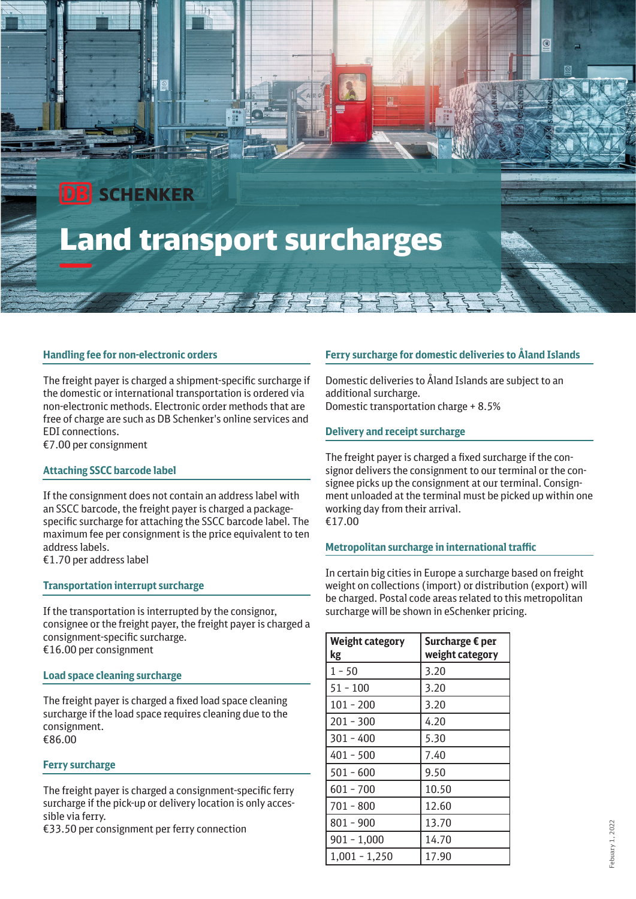# **DB** SCHENKER Land transport surcharges

# **Handling fee for non-electronic orders**

The freight payer is charged a shipment-specific surcharge if the domestic or international transportation is ordered via non-electronic methods. Electronic order methods that are free of charge are such as DB Schenker's online services and EDI connections. €7.00 per consignment

#### **Attaching SSCC barcode label**

If the consignment does not contain an address label with an SSCC barcode, the freight payer is charged a packagespecific surcharge for attaching the SSCC barcode label. The maximum fee per consignment is the price equivalent to ten address labels.

€1.70 per address label

#### **Transportation interrupt surcharge**

If the transportation is interrupted by the consignor, consignee or the freight payer, the freight payer is charged a consignment-specific surcharge. €16.00 per consignment

#### **Load space cleaning surcharge**

The freight payer is charged a fixed load space cleaning surcharge if the load space requires cleaning due to the consignment. €86.00

#### **Ferry surcharge**

The freight payer is charged a consignment-specific ferry surcharge if the pick-up or delivery location is only accessible via ferry.

€33.50 per consignment per ferry connection

# **Ferry surcharge for domestic deliveries to Åland Islands**

Domestic deliveries to Åland Islands are subject to an additional surcharge. Domestic transportation charge + 8.5%

#### **Delivery and receipt surcharge**

Ï

The freight payer is charged a fixed surcharge if the consignor delivers the consignment to our terminal or the consignee picks up the consignment at our terminal. Consignment unloaded at the terminal must be picked up within one working day from their arrival. €17.00

#### **Metropolitan surcharge in international traffic**

In certain big cities in Europe a surcharge based on freight weight on collections (import) or distribution (export) will be charged. Postal code areas related to this metropolitan surcharge will be shown in eSchenker pricing.

| <b>Weight category</b><br>kg | Surcharge € per<br>weight category |
|------------------------------|------------------------------------|
| $1 - 50$                     | 3.20                               |
| $51 - 100$                   | 3.20                               |
| $101 - 200$                  | 3.20                               |
| $201 - 300$                  | 4.20                               |
| $301 - 400$                  | 5.30                               |
| $401 - 500$                  | 7.40                               |
| $501 - 600$                  | 9.50                               |
| 601 - 700                    | 10.50                              |
| $701 - 800$                  | 12.60                              |
| 801 - 900                    | 13.70                              |
| $901 - 1,000$                | 14.70                              |
| $1,001 - 1,250$              | 17.90                              |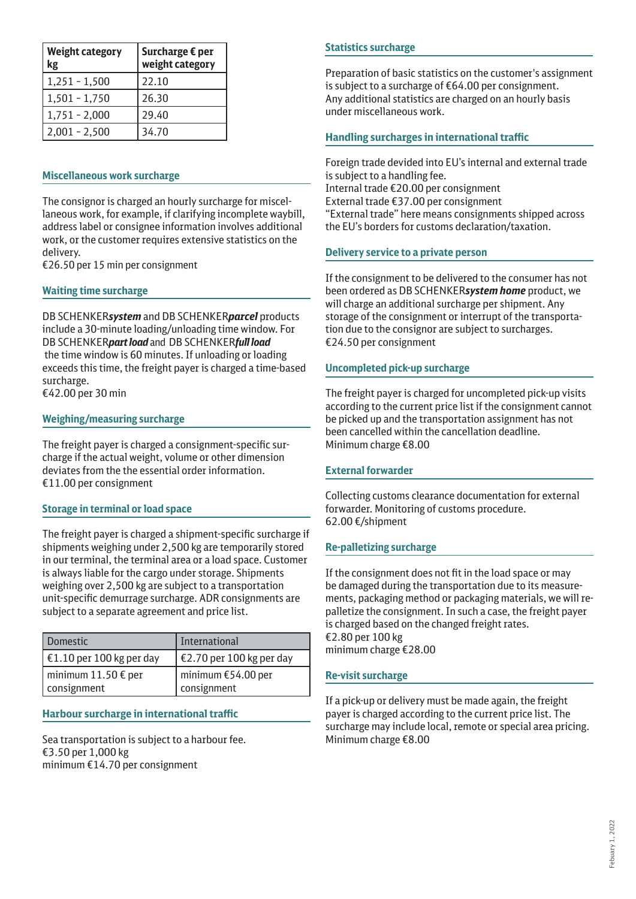| <b>Weight category</b><br>kg | Surcharge € per<br>weight category |
|------------------------------|------------------------------------|
| $1,251 - 1,500$              | 22.10                              |
| 1,501 - 1,750                | 26.30                              |
| $1,751 - 2,000$              | 29.40                              |
| $2,001 - 2,500$              | 34.70                              |

# **Miscellaneous work surcharge**

The consignor is charged an hourly surcharge for miscellaneous work, for example, if clarifying incomplete waybill, address label or consignee information involves additional work, or the customer requires extensive statistics on the delivery.

€26.50 per 15 min per consignment

# **Waiting time surcharge**

DB SCHENKER*system* and DB SCHENKER*parcel* products include a 30-minute loading/unloading time window. For DB SCHENKER*part load* andDB SCHENKER*full load* the time window is 60 minutes. If unloading or loading exceeds this time, the freight payer is charged a time-based surcharge.

€42.00 per 30 min

# **Weighing/measuring surcharge**

The freight payer is charged a consignment-specific surcharge if the actual weight, volume or other dimension deviates from the the essential order information. €11.00 per consignment

#### **Storage in terminal or load space**

The freight payer is charged a shipment-specific surcharge if shipments weighing under 2,500 kg are temporarily stored in our terminal, the terminal area or a load space. Customer is always liable for the cargo under storage. Shipments weighing over 2,500 kg are subject to a transportation unit-specific demurrage surcharge. ADR consignments are subject to a separate agreement and price list.

| Domestic                           | International                       |
|------------------------------------|-------------------------------------|
| $\vert$ €1.10 per 100 kg per day   | €2.70 per 100 kg per day            |
| minimum 11.50 € per<br>consignment | minimum $£54.00$ per<br>consignment |

#### **Harbour surcharge in international traffic**

Sea transportation is subject to a harbour fee. €3.50 per 1,000 kg minimum €14.70 per consignment

# **Statistics surcharge**

Preparation of basic statistics on the customer's assignment is subject to a surcharge of €64.00 per consignment. Any additional statistics are charged on an hourly basis under miscellaneous work.

# **Handling surcharges in international traffic**

Foreign trade devided into EU's internal and external trade is subject to a handling fee. Internal trade €20.00 per consignment External trade €37.00 per consignment "External trade" here means consignments shipped across the EU's borders for customs declaration/taxation.

# **Delivery service to a private person**

If the consignment to be delivered to the consumer has not been ordered as DB SCHENKER*system home* product, we will charge an additional surcharge per shipment. Any storage of the consignment or interrupt of the transportation due to the consignor are subject to surcharges. €24.50 per consignment

# **Uncompleted pick-up surcharge**

The freight payer is charged for uncompleted pick-up visits according to the current price list if the consignment cannot be picked up and the transportation assignment has not been cancelled within the cancellation deadline. Minimum charge €8.00

#### **External forwarder**

Collecting customs clearance documentation for external forwarder. Monitoring of customs procedure. 62.00 €/shipment

# **Re-palletizing surcharge**

If the consignment does not fit in the load space or may be damaged during the transportation due to its measurements, packaging method or packaging materials, we will repalletize the consignment. In such a case, the freight payer is charged based on the changed freight rates. €2.80 per 100 kg minimum charge €28.00

#### **Re-visit surcharge**

If a pick-up or delivery must be made again, the freight payer is charged according to the current price list. The surcharge may include local, remote or special area pricing. Minimum charge €8.00